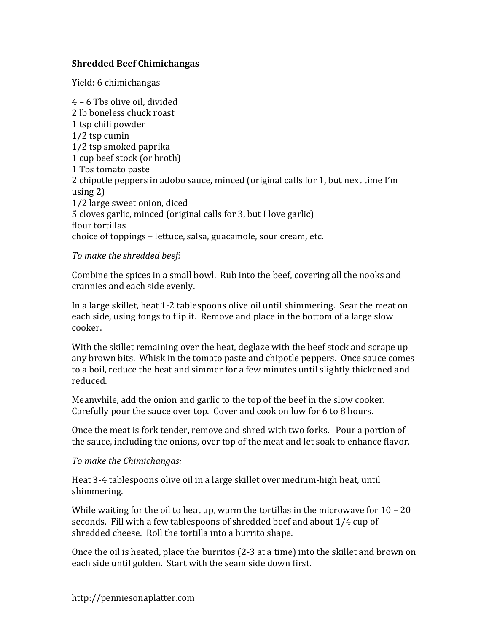## **Shredded&Beef&Chimichangas**

Yield: 6 chimichangas

 $4-6$  Tbs olive oil, divided 2 lb boneless chuck roast 1 tsp chili powder  $1/2$  tsp cumin  $1/2$  tsp smoked paprika 1 cup beef stock (or broth) 1 Tbs tomato paste 2 chipotle peppers in adobo sauce, minced (original calls for 1, but next time I'm using  $2)$ 1/2 large sweet onion, diced 5 cloves garlic, minced (original calls for 3, but I love garlic) flour tortillas choice of toppings - lettuce, salsa, guacamole, sour cream, etc.

## To make the shredded beef:

Combine the spices in a small bowl. Rub into the beef, covering all the nooks and crannies and each side evenly.

In a large skillet, heat 1-2 tablespoons olive oil until shimmering. Sear the meat on each side, using tongs to flip it. Remove and place in the bottom of a large slow cooker.

With the skillet remaining over the heat, deglaze with the beef stock and scrape up any brown bits. Whisk in the tomato paste and chipotle peppers. Once sauce comes to a boil, reduce the heat and simmer for a few minutes until slightly thickened and reduced.

Meanwhile, add the onion and garlic to the top of the beef in the slow cooker. Carefully pour the sauce over top. Cover and cook on low for 6 to 8 hours.

Once the meat is fork tender, remove and shred with two forks. Pour a portion of the sauce, including the onions, over top of the meat and let soak to enhance flavor.

## *To make the Chimichangas:*

Heat 3-4 tablespoons olive oil in a large skillet over medium-high heat, until shimmering.

While waiting for the oil to heat up, warm the tortillas in the microwave for  $10-20$ seconds. Fill with a few tablespoons of shredded beef and about 1/4 cup of shredded cheese. Roll the tortilla into a burrito shape.

Once the oil is heated, place the burritos (2-3 at a time) into the skillet and brown on each side until golden. Start with the seam side down first.